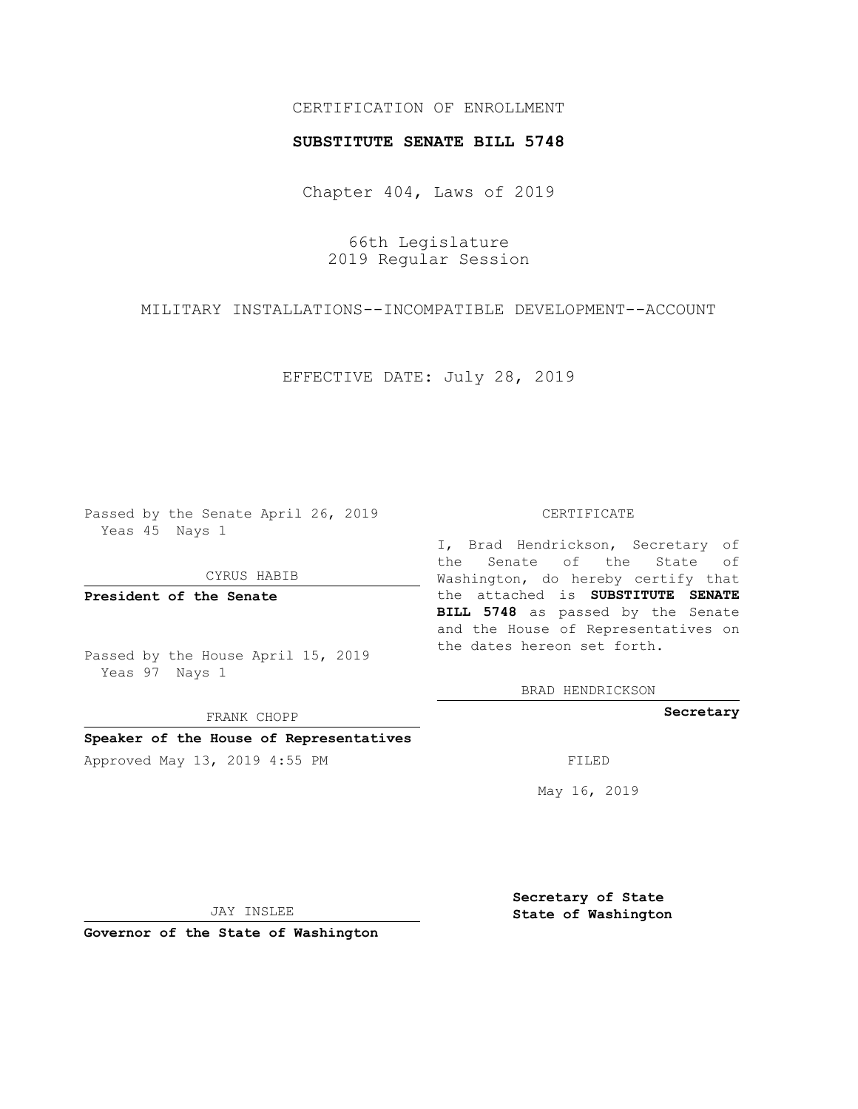## CERTIFICATION OF ENROLLMENT

## **SUBSTITUTE SENATE BILL 5748**

Chapter 404, Laws of 2019

66th Legislature 2019 Regular Session

MILITARY INSTALLATIONS--INCOMPATIBLE DEVELOPMENT--ACCOUNT

EFFECTIVE DATE: July 28, 2019

Passed by the Senate April 26, 2019 Yeas 45 Nays 1

CYRUS HABIB

**President of the Senate**

Passed by the House April 15, 2019 Yeas 97 Nays 1

FRANK CHOPP

### **Speaker of the House of Representatives**

Approved May 13, 2019 4:55 PM

#### CERTIFICATE

I, Brad Hendrickson, Secretary of the Senate of the State of Washington, do hereby certify that the attached is **SUBSTITUTE SENATE BILL 5748** as passed by the Senate and the House of Representatives on the dates hereon set forth.

BRAD HENDRICKSON

**Secretary**

May 16, 2019

JAY INSLEE

**Governor of the State of Washington**

**Secretary of State State of Washington**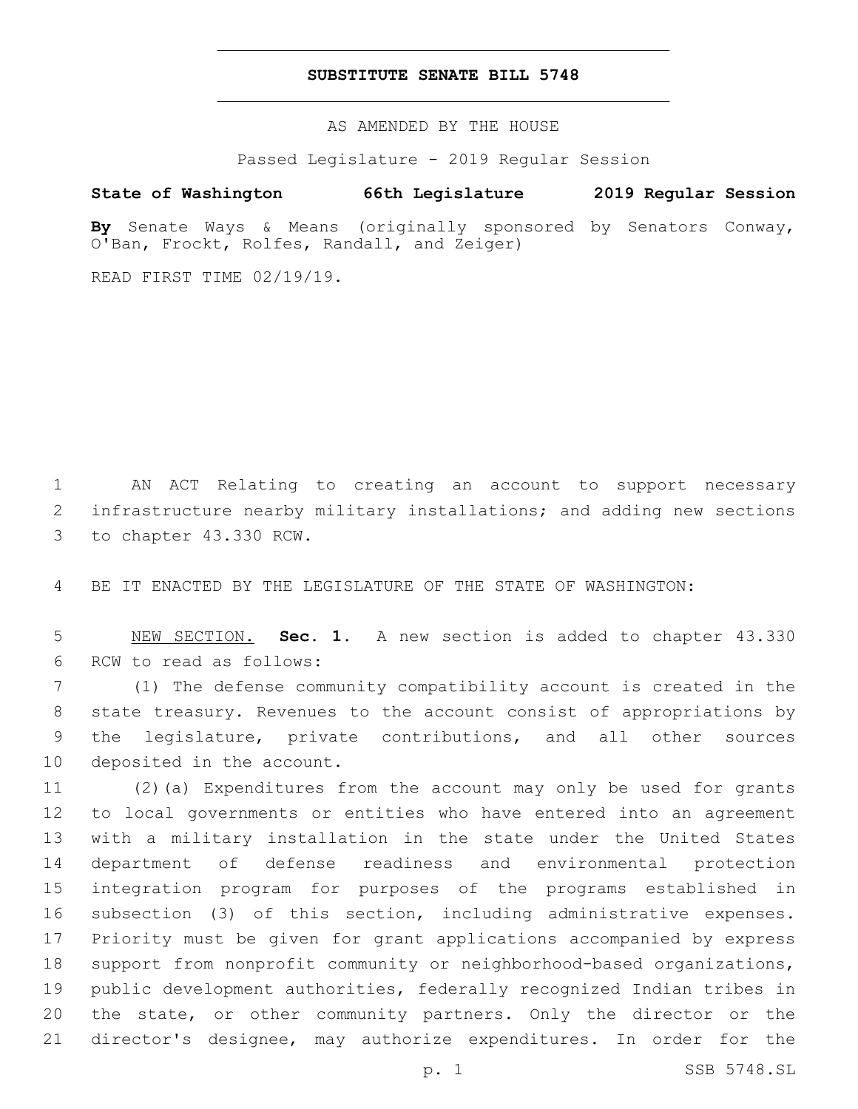## **SUBSTITUTE SENATE BILL 5748**

AS AMENDED BY THE HOUSE

Passed Legislature - 2019 Regular Session

# **State of Washington 66th Legislature 2019 Regular Session**

**By** Senate Ways & Means (originally sponsored by Senators Conway, O'Ban, Frockt, Rolfes, Randall, and Zeiger)

READ FIRST TIME 02/19/19.

 AN ACT Relating to creating an account to support necessary infrastructure nearby military installations; and adding new sections 3 to chapter 43.330 RCW.

BE IT ENACTED BY THE LEGISLATURE OF THE STATE OF WASHINGTON:

 NEW SECTION. **Sec. 1.** A new section is added to chapter 43.330 6 RCW to read as follows:

 (1) The defense community compatibility account is created in the state treasury. Revenues to the account consist of appropriations by the legislature, private contributions, and all other sources 10 deposited in the account.

 (2)(a) Expenditures from the account may only be used for grants to local governments or entities who have entered into an agreement with a military installation in the state under the United States department of defense readiness and environmental protection integration program for purposes of the programs established in subsection (3) of this section, including administrative expenses. Priority must be given for grant applications accompanied by express support from nonprofit community or neighborhood-based organizations, public development authorities, federally recognized Indian tribes in the state, or other community partners. Only the director or the director's designee, may authorize expenditures. In order for the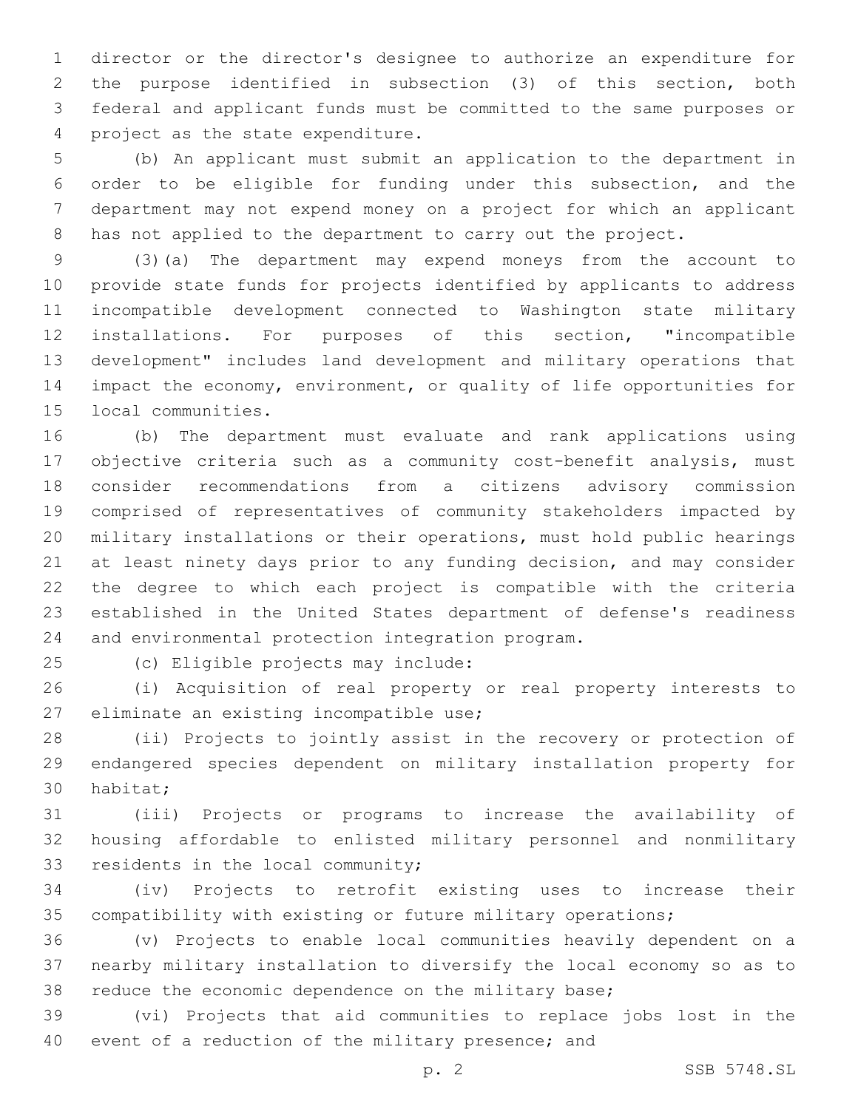director or the director's designee to authorize an expenditure for the purpose identified in subsection (3) of this section, both federal and applicant funds must be committed to the same purposes or 4 project as the state expenditure.

 (b) An applicant must submit an application to the department in order to be eligible for funding under this subsection, and the department may not expend money on a project for which an applicant has not applied to the department to carry out the project.

 (3)(a) The department may expend moneys from the account to provide state funds for projects identified by applicants to address incompatible development connected to Washington state military installations. For purposes of this section, "incompatible development" includes land development and military operations that impact the economy, environment, or quality of life opportunities for 15 local communities.

 (b) The department must evaluate and rank applications using objective criteria such as a community cost-benefit analysis, must consider recommendations from a citizens advisory commission comprised of representatives of community stakeholders impacted by military installations or their operations, must hold public hearings at least ninety days prior to any funding decision, and may consider the degree to which each project is compatible with the criteria established in the United States department of defense's readiness 24 and environmental protection integration program.

25 (c) Eligible projects may include:

 (i) Acquisition of real property or real property interests to 27 eliminate an existing incompatible use;

 (ii) Projects to jointly assist in the recovery or protection of endangered species dependent on military installation property for 30 habitat;

 (iii) Projects or programs to increase the availability of housing affordable to enlisted military personnel and nonmilitary 33 residents in the local community;

 (iv) Projects to retrofit existing uses to increase their compatibility with existing or future military operations;

 (v) Projects to enable local communities heavily dependent on a nearby military installation to diversify the local economy so as to reduce the economic dependence on the military base;

 (vi) Projects that aid communities to replace jobs lost in the event of a reduction of the military presence; and